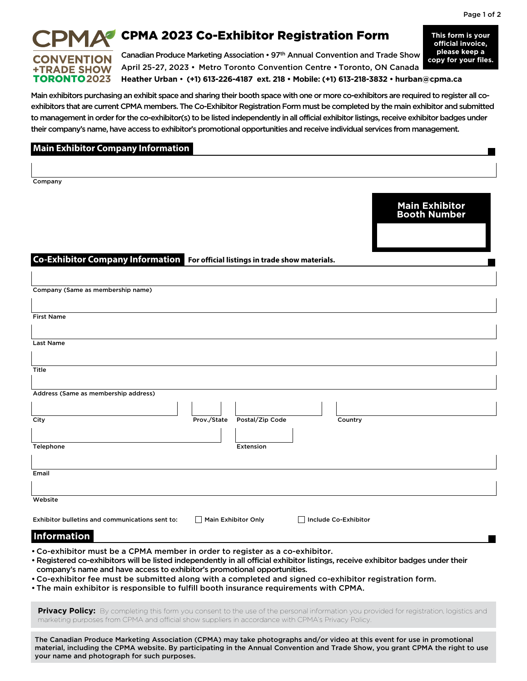**This form is your official invoice,** 

# **CONVENTION**

# CPMA 2023 Co-Exhibitor Registration Form

**please keep a copy for your files.** Canadian Produce Marketing Association • 97th Annual Convention and Trade Show April 25-27, 2023 • Metro Toronto Convention Centre • Toronto, ON Canada TORONTO**2023 Heather Urban** • **(+1) 613-226-4187 ext. 218 • Mobile: (+1) 613-218-3832 • hurban@cpma.ca**

Main exhibitors purchasing an exhibit space and sharing their booth space with one or more co-exhibitors are required to register all coexhibitors that are current CPMA members. The Co-Exhibitor Registration Form must be completed by the main exhibitor and submitted to management in order for the co-exhibitor(s) to be listed independently in all official exhibitor listings, receive exhibitor badges under their company's name, have access to exhibitor's promotional opportunities and receive individual services from management.

### **Main Exhibitor Company Information**

| Company                                                                                                                                                                                          |                             |                                                                                                                                         |
|--------------------------------------------------------------------------------------------------------------------------------------------------------------------------------------------------|-----------------------------|-----------------------------------------------------------------------------------------------------------------------------------------|
|                                                                                                                                                                                                  |                             |                                                                                                                                         |
|                                                                                                                                                                                                  |                             | <b>Main Exhibitor<br/>Booth Number</b>                                                                                                  |
|                                                                                                                                                                                                  |                             |                                                                                                                                         |
|                                                                                                                                                                                                  |                             |                                                                                                                                         |
| Co-Exhibitor Company Information For official listings in trade show materials.                                                                                                                  |                             |                                                                                                                                         |
|                                                                                                                                                                                                  |                             |                                                                                                                                         |
|                                                                                                                                                                                                  |                             |                                                                                                                                         |
| Company (Same as membership name)                                                                                                                                                                |                             |                                                                                                                                         |
|                                                                                                                                                                                                  |                             |                                                                                                                                         |
| <b>First Name</b>                                                                                                                                                                                |                             |                                                                                                                                         |
|                                                                                                                                                                                                  |                             |                                                                                                                                         |
| <b>Last Name</b>                                                                                                                                                                                 |                             |                                                                                                                                         |
|                                                                                                                                                                                                  |                             |                                                                                                                                         |
| Title                                                                                                                                                                                            |                             |                                                                                                                                         |
| Address (Same as membership address)                                                                                                                                                             |                             |                                                                                                                                         |
|                                                                                                                                                                                                  |                             |                                                                                                                                         |
| City                                                                                                                                                                                             | Prov./State Postal/Zip Code | Country                                                                                                                                 |
|                                                                                                                                                                                                  |                             |                                                                                                                                         |
| Telephone                                                                                                                                                                                        | <b>Extension</b>            |                                                                                                                                         |
|                                                                                                                                                                                                  |                             |                                                                                                                                         |
| Email                                                                                                                                                                                            |                             |                                                                                                                                         |
|                                                                                                                                                                                                  |                             |                                                                                                                                         |
| Website                                                                                                                                                                                          |                             |                                                                                                                                         |
| Exhibitor bulletins and communications sent to:                                                                                                                                                  | Main Exhibitor Only         | Include Co-Exhibitor                                                                                                                    |
| <b>Information</b>                                                                                                                                                                               |                             |                                                                                                                                         |
|                                                                                                                                                                                                  |                             |                                                                                                                                         |
| . Co-exhibitor must be a CPMA member in order to register as a co-exhibitor.                                                                                                                     |                             | · Registered co-exhibitors will be listed independently in all official exhibitor listings, receive exhibitor badges under their        |
| company's name and have access to exhibitor's promotional opportunities.                                                                                                                         |                             |                                                                                                                                         |
| . Co-exhibitor fee must be submitted along with a completed and signed co-exhibitor registration form.<br>• The main exhibitor is responsible to fulfill booth insurance requirements with CPMA. |                             |                                                                                                                                         |
|                                                                                                                                                                                                  |                             |                                                                                                                                         |
|                                                                                                                                                                                                  |                             | Privacy Policy: By completing this form you consent to the use of the personal information you provided for registration, logistics and |
| marketing purposes from CPMA and official show suppliers in accordance with CPMA's Privacy Policy.                                                                                               |                             |                                                                                                                                         |
|                                                                                                                                                                                                  |                             | The Canadian Produce Marketing Association (CPMA) may take photographs and/or video at this event for use in promotional                |

material, including the CPMA website. By participating in the Annual Convention and Trade Show, you grant CPMA the right to use your name and photograph for such purposes.